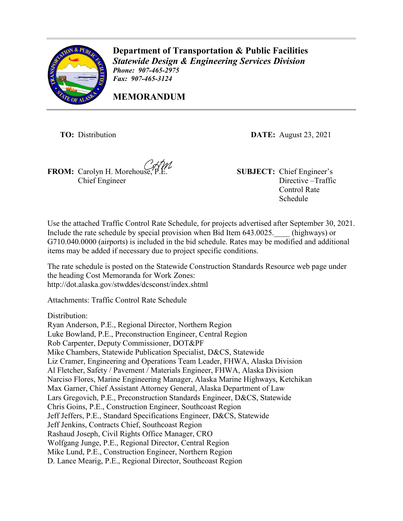

**Department of Transportation & Public Facilities** *Statewide Design & Engineering Services Division Phone: 907-465-2975 Fax: 907-465-3124* 

**MEMORANDUM**

**TO:** Distribution **DATE:** August 23, 2021

**FROM:** Carolyn H. Morehouse, P.E. **SUBJECT:** Chief Engineer's Chief Engineer

Directive –Traffic Control Rate Schedule

Use the attached Traffic Control Rate Schedule, for projects advertised after September 30, 2021. Include the rate schedule by special provision when Bid Item 643.0025. (highways) or G710.040.0000 (airports) is included in the bid schedule. Rates may be modified and additional items may be added if necessary due to project specific conditions.

The rate schedule is posted on the Statewide Construction Standards Resource web page under the heading Cost Memoranda for Work Zones: <http://dot.alaska.gov/stwddes/dcsconst/index.shtml>

Attachments: Traffic Control Rate Schedule

Distribution:

Ryan Anderson, P.E., Regional Director, Northern Region Luke Bowland, P.E., Preconstruction Engineer, Central Region Rob Carpenter, Deputy Commissioner, DOT&PF Mike Chambers, Statewide Publication Specialist, D&CS, Statewide Liz Cramer, Engineering and Operations Team Leader, FHWA, Alaska Division Al Fletcher, Safety / Pavement / Materials Engineer, FHWA, Alaska Division Narciso Flores, Marine Engineering Manager, Alaska Marine Highways, Ketchikan Max Garner, Chief Assistant Attorney General, Alaska Department of Law Lars Gregovich, P.E., Preconstruction Standards Engineer, D&CS, Statewide Chris Goins, P.E., Construction Engineer, Southcoast Region Jeff Jeffers, P.E., Standard Specifications Engineer, D&CS, Statewide Jeff Jenkins, Contracts Chief, Southcoast Region Rashaud Joseph, Civil Rights Office Manager, CRO Wolfgang Junge, P.E., Regional Director, Central Region Mike Lund, P.E., Construction Engineer, Northern Region D. Lance Mearig, P.E., Regional Director, Southcoast Region